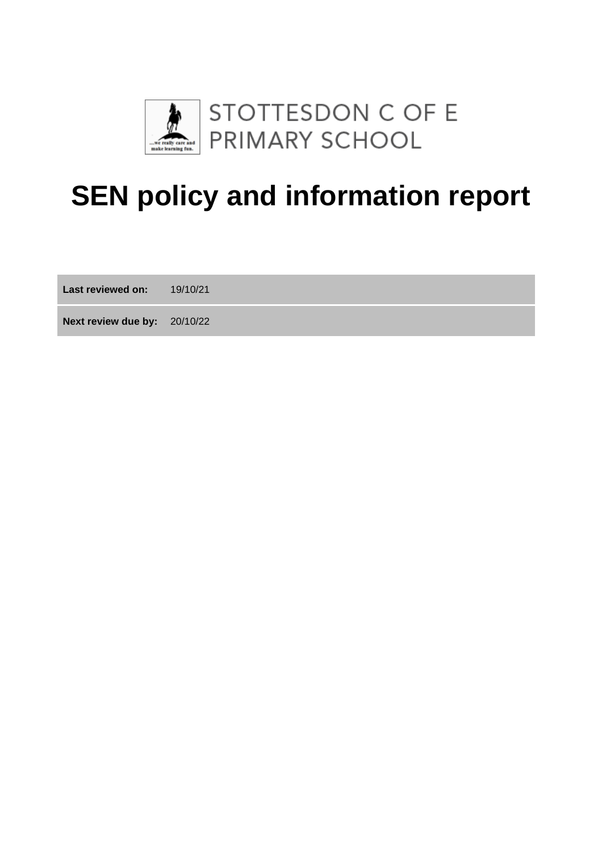

# **SEN policy and information report**

**Last reviewed on:** 19/10/21

**Next review due by:** 20/10/22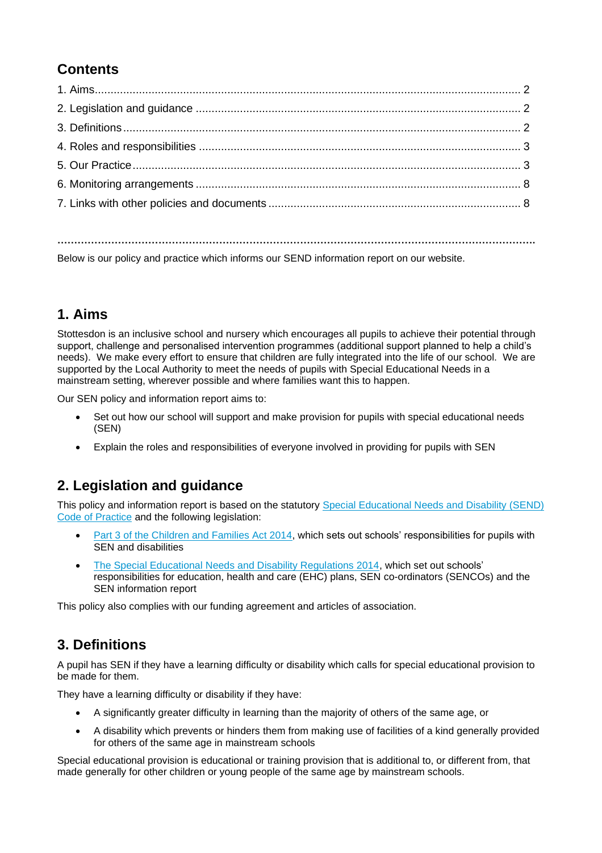# **Contents**

Below is our policy and practice which informs our SEND information report on our website.

## **1. Aims**

Stottesdon is an inclusive school and nursery which encourages all pupils to achieve their potential through support, challenge and personalised intervention programmes (additional support planned to help a child's needs). We make every effort to ensure that children are fully integrated into the life of our school. We are supported by the Local Authority to meet the needs of pupils with Special Educational Needs in a mainstream setting, wherever possible and where families want this to happen.

Our SEN policy and information report aims to:

- Set out how our school will support and make provision for pupils with special educational needs (SEN)
- Explain the roles and responsibilities of everyone involved in providing for pupils with SEN

## **2. Legislation and guidance**

This policy and information report is based on the statutory [Special Educational Needs and Disability \(SEND\)](https://www.gov.uk/government/uploads/system/uploads/attachment_data/file/398815/SEND_Code_of_Practice_January_2015.pdf)  [Code of Practice](https://www.gov.uk/government/uploads/system/uploads/attachment_data/file/398815/SEND_Code_of_Practice_January_2015.pdf) and the following legislation:

- [Part 3 of the Children and Families Act 2014,](http://www.legislation.gov.uk/ukpga/2014/6/part/3) which sets out schools' responsibilities for pupils with SEN and disabilities
- [The Special Educational Needs and Disability Regulations 2014,](http://www.legislation.gov.uk/uksi/2014/1530/contents/made) which set out schools' responsibilities for education, health and care (EHC) plans, SEN co-ordinators (SENCOs) and the SEN information report

This policy also complies with our funding agreement and articles of association.

## **3. Definitions**

A pupil has SEN if they have a learning difficulty or disability which calls for special educational provision to be made for them.

They have a learning difficulty or disability if they have:

- A significantly greater difficulty in learning than the majority of others of the same age, or
- A disability which prevents or hinders them from making use of facilities of a kind generally provided for others of the same age in mainstream schools

Special educational provision is educational or training provision that is additional to, or different from, that made generally for other children or young people of the same age by mainstream schools.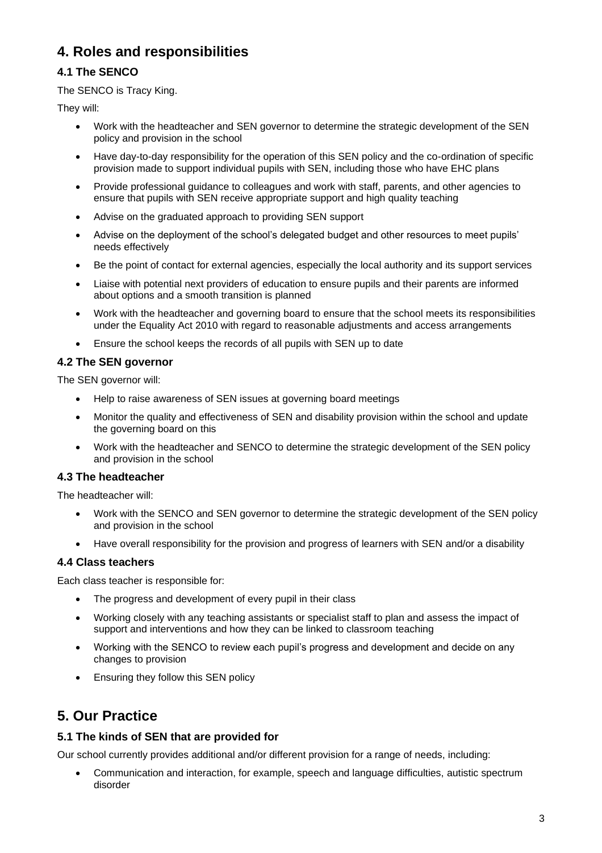# **4. Roles and responsibilities**

#### **4.1 The SENCO**

The SENCO is Tracy King.

They will:

- Work with the headteacher and SEN governor to determine the strategic development of the SEN policy and provision in the school
- Have day-to-day responsibility for the operation of this SEN policy and the co-ordination of specific provision made to support individual pupils with SEN, including those who have EHC plans
- Provide professional guidance to colleagues and work with staff, parents, and other agencies to ensure that pupils with SEN receive appropriate support and high quality teaching
- Advise on the graduated approach to providing SEN support
- Advise on the deployment of the school's delegated budget and other resources to meet pupils' needs effectively
- Be the point of contact for external agencies, especially the local authority and its support services
- Liaise with potential next providers of education to ensure pupils and their parents are informed about options and a smooth transition is planned
- Work with the headteacher and governing board to ensure that the school meets its responsibilities under the Equality Act 2010 with regard to reasonable adjustments and access arrangements
- Ensure the school keeps the records of all pupils with SEN up to date

#### **4.2 The SEN governor**

The SEN governor will:

- Help to raise awareness of SEN issues at governing board meetings
- Monitor the quality and effectiveness of SEN and disability provision within the school and update the governing board on this
- Work with the headteacher and SENCO to determine the strategic development of the SEN policy and provision in the school

#### **4.3 The headteacher**

The headteacher will:

- Work with the SENCO and SEN governor to determine the strategic development of the SEN policy and provision in the school
- Have overall responsibility for the provision and progress of learners with SEN and/or a disability

#### **4.4 Class teachers**

Each class teacher is responsible for:

- The progress and development of every pupil in their class
- Working closely with any teaching assistants or specialist staff to plan and assess the impact of support and interventions and how they can be linked to classroom teaching
- Working with the SENCO to review each pupil's progress and development and decide on any changes to provision
- Ensuring they follow this SEN policy

## **5. Our Practice**

#### **5.1 The kinds of SEN that are provided for**

Our school currently provides additional and/or different provision for a range of needs, including:

• Communication and interaction, for example, speech and language difficulties, autistic spectrum disorder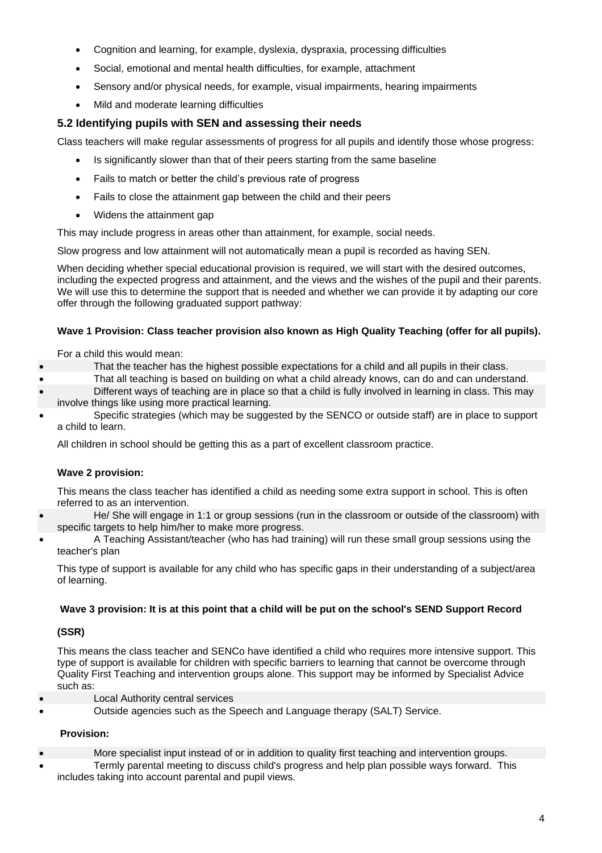- Cognition and learning, for example, dyslexia, dyspraxia, processing difficulties
- Social, emotional and mental health difficulties, for example, attachment
- Sensory and/or physical needs, for example, visual impairments, hearing impairments
- Mild and moderate learning difficulties

#### **5.2 Identifying pupils with SEN and assessing their needs**

Class teachers will make regular assessments of progress for all pupils and identify those whose progress:

- Is significantly slower than that of their peers starting from the same baseline
- Fails to match or better the child's previous rate of progress
- Fails to close the attainment gap between the child and their peers
- Widens the attainment gap

This may include progress in areas other than attainment, for example, social needs.

Slow progress and low attainment will not automatically mean a pupil is recorded as having SEN.

When deciding whether special educational provision is required, we will start with the desired outcomes, including the expected progress and attainment, and the views and the wishes of the pupil and their parents. We will use this to determine the support that is needed and whether we can provide it by adapting our core offer through the following graduated support pathway:

#### **Wave 1 Provision: Class teacher provision also known as High Quality Teaching (offer for all pupils).**

For a child this would mean:

- That the teacher has the highest possible expectations for a child and all pupils in their class.
- That all teaching is based on building on what a child already knows, can do and can understand.
- Different ways of teaching are in place so that a child is fully involved in learning in class. This may involve things like using more practical learning.
- Specific strategies (which may be suggested by the SENCO or outside staff) are in place to support a child to learn.

All children in school should be getting this as a part of excellent classroom practice.

#### **Wave 2 provision:**

This means the class teacher has identified a child as needing some extra support in school. This is often referred to as an intervention.

- He/ She will engage in 1:1 or group sessions (run in the classroom or outside of the classroom) with specific targets to help him/her to make more progress.
- A Teaching Assistant/teacher (who has had training) will run these small group sessions using the teacher's plan

This type of support is available for any child who has specific gaps in their understanding of a subject/area of learning.

#### **Wave 3 provision: It is at this point that a child will be put on the school's SEND Support Record**

#### **(SSR)**

This means the class teacher and SENCo have identified a child who requires more intensive support. This type of support is available for children with specific barriers to learning that cannot be overcome through Quality First Teaching and intervention groups alone. This support may be informed by Specialist Advice such as:

- **Local Authority central services**
- Outside agencies such as the Speech and Language therapy (SALT) Service.

#### **Provision:**

- More specialist input instead of or in addition to quality first teaching and intervention groups.
	- Termly parental meeting to discuss child's progress and help plan possible ways forward. This includes taking into account parental and pupil views.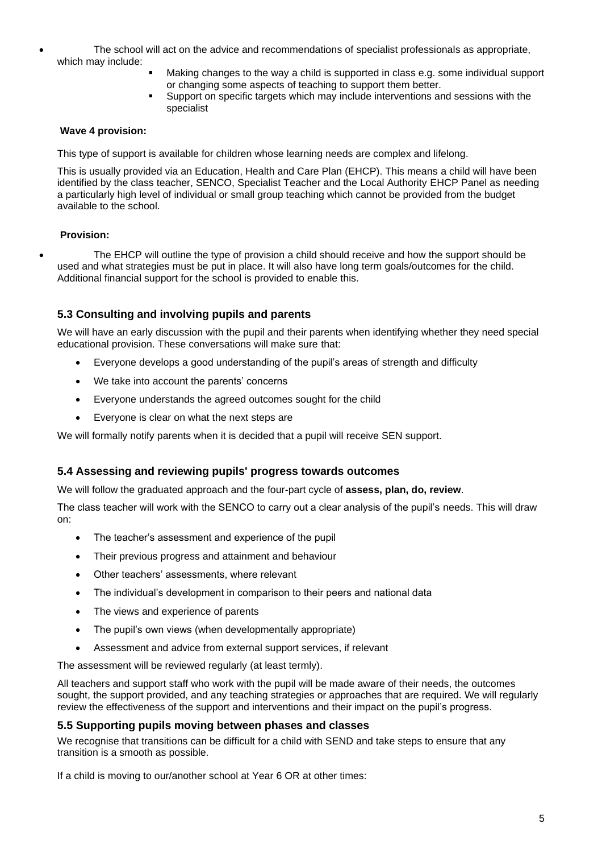- The school will act on the advice and recommendations of specialist professionals as appropriate, which may include:
	- Making changes to the way a child is supported in class e.g. some individual support or changing some aspects of teaching to support them better.
	- Support on specific targets which may include interventions and sessions with the specialist

#### **Wave 4 provision:**

This type of support is available for children whose learning needs are complex and lifelong.

This is usually provided via an Education, Health and Care Plan (EHCP). This means a child will have been identified by the class teacher, SENCO, Specialist Teacher and the Local Authority EHCP Panel as needing a particularly high level of individual or small group teaching which cannot be provided from the budget available to the school.

#### **Provision:**

• The EHCP will outline the type of provision a child should receive and how the support should be used and what strategies must be put in place. It will also have long term goals/outcomes for the child. Additional financial support for the school is provided to enable this.

#### **5.3 Consulting and involving pupils and parents**

We will have an early discussion with the pupil and their parents when identifying whether they need special educational provision. These conversations will make sure that:

- Everyone develops a good understanding of the pupil's areas of strength and difficulty
- We take into account the parents' concerns
- Everyone understands the agreed outcomes sought for the child
- Everyone is clear on what the next steps are

We will formally notify parents when it is decided that a pupil will receive SEN support.

#### **5.4 Assessing and reviewing pupils' progress towards outcomes**

We will follow the graduated approach and the four-part cycle of **assess, plan, do, review**.

The class teacher will work with the SENCO to carry out a clear analysis of the pupil's needs. This will draw on:

- The teacher's assessment and experience of the pupil
- Their previous progress and attainment and behaviour
- Other teachers' assessments, where relevant
- The individual's development in comparison to their peers and national data
- The views and experience of parents
- The pupil's own views (when developmentally appropriate)
- Assessment and advice from external support services, if relevant

The assessment will be reviewed regularly (at least termly).

All teachers and support staff who work with the pupil will be made aware of their needs, the outcomes sought, the support provided, and any teaching strategies or approaches that are required. We will regularly review the effectiveness of the support and interventions and their impact on the pupil's progress.

#### **5.5 Supporting pupils moving between phases and classes**

We recognise that transitions can be difficult for a child with SEND and take steps to ensure that any transition is a smooth as possible.

If a child is moving to our/another school at Year 6 OR at other times: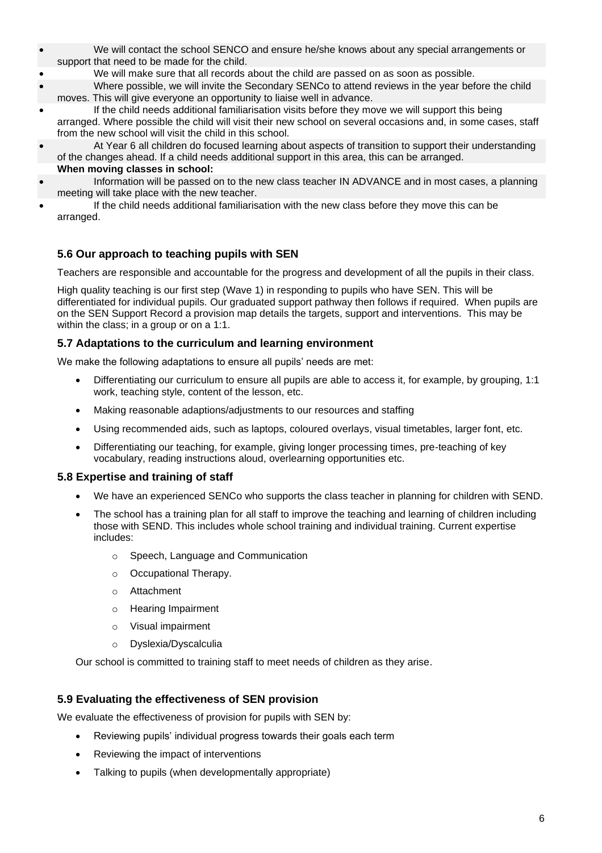- We will contact the school SENCO and ensure he/she knows about any special arrangements or support that need to be made for the child.
- We will make sure that all records about the child are passed on as soon as possible.
- Where possible, we will invite the Secondary SENCo to attend reviews in the year before the child moves. This will give everyone an opportunity to liaise well in advance.
- If the child needs additional familiarisation visits before they move we will support this being arranged. Where possible the child will visit their new school on several occasions and, in some cases, staff from the new school will visit the child in this school.
- At Year 6 all children do focused learning about aspects of transition to support their understanding of the changes ahead. If a child needs additional support in this area, this can be arranged. **When moving classes in school:**
- Information will be passed on to the new class teacher IN ADVANCE and in most cases, a planning meeting will take place with the new teacher.
- If the child needs additional familiarisation with the new class before they move this can be arranged.

#### **5.6 Our approach to teaching pupils with SEN**

Teachers are responsible and accountable for the progress and development of all the pupils in their class.

High quality teaching is our first step (Wave 1) in responding to pupils who have SEN. This will be differentiated for individual pupils. Our graduated support pathway then follows if required. When pupils are on the SEN Support Record a provision map details the targets, support and interventions. This may be within the class; in a group or on a 1:1.

#### **5.7 Adaptations to the curriculum and learning environment**

We make the following adaptations to ensure all pupils' needs are met:

- Differentiating our curriculum to ensure all pupils are able to access it, for example, by grouping, 1:1 work, teaching style, content of the lesson, etc.
- Making reasonable adaptions/adjustments to our resources and staffing
- Using recommended aids, such as laptops, coloured overlays, visual timetables, larger font, etc.
- Differentiating our teaching, for example, giving longer processing times, pre-teaching of key vocabulary, reading instructions aloud, overlearning opportunities etc.

#### **5.8 Expertise and training of staff**

- We have an experienced SENCo who supports the class teacher in planning for children with SEND.
- The school has a training plan for all staff to improve the teaching and learning of children including those with SEND. This includes whole school training and individual training. Current expertise includes:
	- o Speech, Language and Communication
	- o Occupational Therapy.
	- o Attachment
	- o Hearing Impairment
	- o Visual impairment
	- o Dyslexia/Dyscalculia

Our school is committed to training staff to meet needs of children as they arise.

#### **5.9 Evaluating the effectiveness of SEN provision**

We evaluate the effectiveness of provision for pupils with SEN by:

- Reviewing pupils' individual progress towards their goals each term
- Reviewing the impact of interventions
- Talking to pupils (when developmentally appropriate)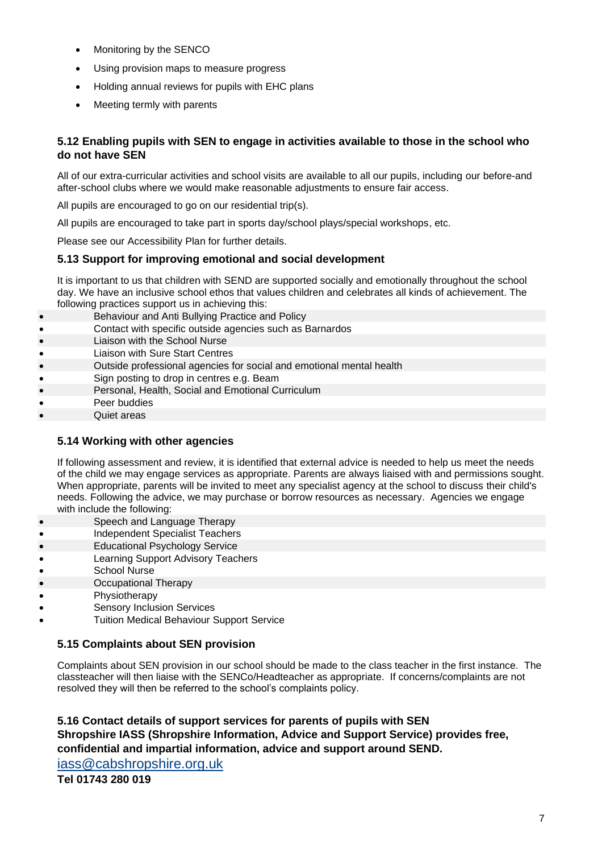- Monitoring by the SENCO
- Using provision maps to measure progress
- Holding annual reviews for pupils with EHC plans
- Meeting termly with parents

#### **5.12 Enabling pupils with SEN to engage in activities available to those in the school who do not have SEN**

All of our extra-curricular activities and school visits are available to all our pupils, including our before-and after-school clubs where we would make reasonable adjustments to ensure fair access.

All pupils are encouraged to go on our residential trip(s).

All pupils are encouraged to take part in sports day/school plays/special workshops, etc.

Please see our Accessibility Plan for further details.

#### **5.13 Support for improving emotional and social development**

It is important to us that children with SEND are supported socially and emotionally throughout the school day. We have an inclusive school ethos that values children and celebrates all kinds of achievement. The following practices support us in achieving this:

- Behaviour and Anti Bullying Practice and Policy
- Contact with specific outside agencies such as Barnardos
- Liaison with the School Nurse
- Liaison with Sure Start Centres
- Outside professional agencies for social and emotional mental health
- Sign posting to drop in centres e.g. Beam
- Personal, Health, Social and Emotional Curriculum
- Peer buddies
- Quiet areas

#### **5.14 Working with other agencies**

If following assessment and review, it is identified that external advice is needed to help us meet the needs of the child we may engage services as appropriate. Parents are always liaised with and permissions sought. When appropriate, parents will be invited to meet any specialist agency at the school to discuss their child's needs. Following the advice, we may purchase or borrow resources as necessary. Agencies we engage with include the following:

- Speech and Language Therapy
- Independent Specialist Teachers
- Educational Psychology Service
- Learning Support Advisory Teachers
- School Nurse
- Occupational Therapy
- Physiotherapy
- Sensory Inclusion Services
- Tuition Medical Behaviour Support Service

#### **5.15 Complaints about SEN provision**

Complaints about SEN provision in our school should be made to the class teacher in the first instance. The classteacher will then liaise with the SENCo/Headteacher as appropriate. If concerns/complaints are not resolved they will then be referred to the school's complaints policy.

#### **5.16 Contact details of support services for parents of pupils with SEN Shropshire IASS (Shropshire Information, Advice and Support Service) provides free, confidential and impartial information, advice and support around SEND.**

[iass@cabshropshire.org.uk](mailto:iass@shcab.cabnet.org.uk)

**Tel 01743 280 019**